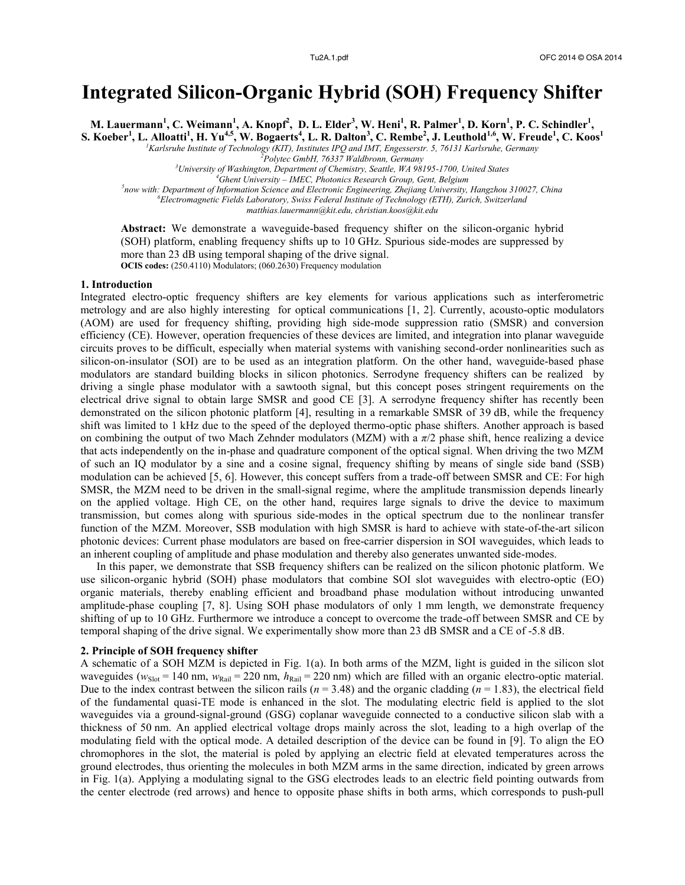# **Integrated Silicon-Organic Hybrid (SOH) Frequency Shifter**

M. Lauermann<sup>1</sup>, C. Weimann<sup>1</sup>, A. Knopf<sup>2</sup>, D. L. Elder<sup>3</sup>, W. Heni<sup>1</sup>, R. Palmer<sup>1</sup>, D. Korn<sup>1</sup>, P. C. Schindler<sup>1</sup>,

S. Koeber<sup>1</sup>, L. Alloatti<sup>1</sup>, H. Yu<sup>4,5</sup>, W. Bogaerts<sup>4</sup>, L. R. Dalton<sup>3</sup>, C. Rembe<sup>2</sup>, J. Leuthold<sup>1,6</sup>, W. Freude<sup>1</sup>, C. Koos<sup>1</sup>

*<sup>1</sup>Karlsruhe Institute of Technology (KIT), Institutes IPQ and IMT, Engesserstr. 5, 76131 Karlsruhe, Germany*

*<sup>2</sup>Polytec GmbH, 76337 Waldbronn, Germany*

*<sup>3</sup>University of Washington, Department of Chemistry, Seattle, WA 98195-1700, United States*

*<sup>4</sup>Ghent University – IMEC, Photonics Research Group, Gent, Belgium*

*5 now with: Department of Information Science and Electronic Engineering, Zhejiang University, Hangzhou 310027, China <sup>6</sup>Electromagnetic Fields Laboratory, Swiss Federal Institute of Technology (ETH), Zurich, Switzerland* 

*matthias.lauermann@kit.edu, christian.koos@kit.edu*

**Abstract:** We demonstrate a waveguide-based frequency shifter on the silicon-organic hybrid (SOH) platform, enabling frequency shifts up to 10 GHz. Spurious side-modes are suppressed by more than 23 dB using temporal shaping of the drive signal. **OCIS codes:** (250.4110) Modulators; (060.2630) Frequency modulation

### **1. Introduction**

Integrated electro-optic frequency shifters are key elements for various applications such as interferometric metrology and are also highly interesting for optical communications [1, 2]. Currently, acousto-optic modulators (AOM) are used for frequency shifting, providing high side-mode suppression ratio (SMSR) and conversion efficiency (CE). However, operation frequencies of these devices are limited, and integration into planar waveguide circuits proves to be difficult, especially when material systems with vanishing second-order nonlinearities such as silicon-on-insulator (SOI) are to be used as an integration platform. On the other hand, waveguide-based phase modulators are standard building blocks in silicon photonics. Serrodyne frequency shifters can be realized by driving a single phase modulator with a sawtooth signal, but this concept poses stringent requirements on the electrical drive signal to obtain large SMSR and good CE [3]. A serrodyne frequency shifter has recently been demonstrated on the silicon photonic platform [4], resulting in a remarkable SMSR of 39 dB, while the frequency shift was limited to 1 kHz due to the speed of the deployed thermo-optic phase shifters. Another approach is based on combining the output of two Mach Zehnder modulators (MZM) with a *π*/2 phase shift, hence realizing a device that acts independently on the in-phase and quadrature component of the optical signal. When driving the two MZM of such an IQ modulator by a sine and a cosine signal, frequency shifting by means of single side band (SSB) modulation can be achieved [5, 6]. However, this concept suffers from a trade-off between SMSR and CE: For high SMSR, the MZM need to be driven in the small-signal regime, where the amplitude transmission depends linearly on the applied voltage. High CE, on the other hand, requires large signals to drive the device to maximum transmission, but comes along with spurious side-modes in the optical spectrum due to the nonlinear transfer function of the MZM. Moreover, SSB modulation with high SMSR is hard to achieve with state-of-the-art silicon photonic devices: Current phase modulators are based on free-carrier dispersion in SOI waveguides, which leads to an inherent coupling of amplitude and phase modulation and thereby also generates unwanted side-modes.

In this paper, we demonstrate that SSB frequency shifters can be realized on the silicon photonic platform. We use silicon-organic hybrid (SOH) phase modulators that combine SOI slot waveguides with electro-optic (EO) organic materials, thereby enabling efficient and broadband phase modulation without introducing unwanted amplitude-phase coupling [7, 8]. Using SOH phase modulators of only 1 mm length, we demonstrate frequency shifting of up to 10 GHz. Furthermore we introduce a concept to overcome the trade-off between SMSR and CE by temporal shaping of the drive signal. We experimentally show more than 23 dB SMSR and a CE of -5.8 dB.

# **2. Principle of SOH frequency shifter**

A schematic of a SOH MZM is depicted in Fig. 1(a). In both arms of the MZM, light is guided in the silicon slot waveguides ( $w_{\text{Slot}}$  = 140 nm,  $w_{\text{Rail}}$  = 220 nm,  $h_{\text{Rail}}$  = 220 nm) which are filled with an organic electro-optic material. Due to the index contrast between the silicon rails ( $n = 3.48$ ) and the organic cladding ( $n = 1.83$ ), the electrical field of the fundamental quasi-TE mode is enhanced in the slot. The modulating electric field is applied to the slot waveguides via a ground-signal-ground (GSG) coplanar waveguide connected to a conductive silicon slab with a thickness of 50 nm. An applied electrical voltage drops mainly across the slot, leading to a high overlap of the modulating field with the optical mode. A detailed description of the device can be found in [9]. To align the EO chromophores in the slot, the material is poled by applying an electric field at elevated temperatures across the ground electrodes, thus orienting the molecules in both MZM arms in the same direction, indicated by green arrows in Fig. 1(a). Applying a modulating signal to the GSG electrodes leads to an electric field pointing outwards from the center electrode (red arrows) and hence to opposite phase shifts in both arms, which corresponds to push-pull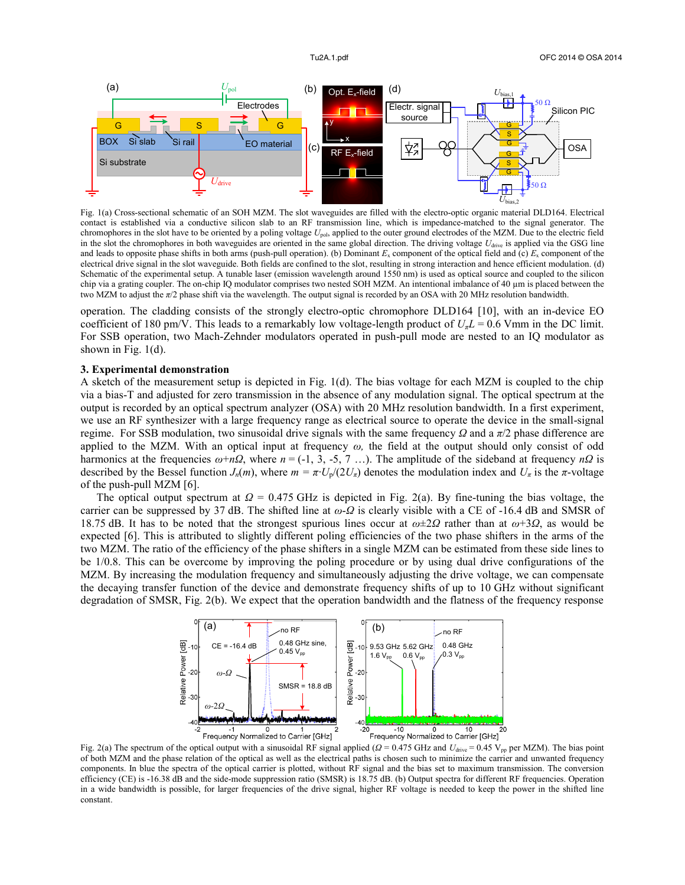

Fig. 1(a) Cross-sectional schematic of an SOH MZM. The slot waveguides are filled with the electro-optic organic material DLD164. Electrical contact is established via a conductive silicon slab to an RF transmission line, which is impedance-matched to the signal generator. The chromophores in the slot have to be oriented by a poling voltage *U*pol, applied to the outer ground electrodes of the MZM. Due to the electric field in the slot the chromophores in both waveguides are oriented in the same global direction. The driving voltage  $U_{\text{drive}}$  is applied via the GSG line and leads to opposite phase shifts in both arms (push-pull operation). (b) Dominant  $E_x$  component of the optical field and (c)  $E_x$  component of the electrical drive signal in the slot waveguide. Both fields are confined to the slot, resulting in strong interaction and hence efficient modulation. (d) Schematic of the experimental setup. A tunable laser (emission wavelength around 1550 nm) is used as optical source and coupled to the silicon chip via a grating coupler. The on-chip IQ modulator comprises two nested SOH MZM. An intentional imbalance of 40  $\mu$ m is placed between the two MZM to adjust the *π*/2 phase shift via the wavelength. The output signal is recorded by an OSA with 20 MHz resolution bandwidth.

operation. The cladding consists of the strongly electro-optic chromophore DLD164 [10], with an in-device EO coefficient of 180 pm/V. This leads to a remarkably low voltage-length product of  $U<sub>π</sub> L = 0.6$  Vmm in the DC limit. For SSB operation, two Mach-Zehnder modulators operated in push-pull mode are nested to an IQ modulator as shown in Fig. 1(d).

# **3. Experimental demonstration**

A sketch of the measurement setup is depicted in Fig. 1(d). The bias voltage for each MZM is coupled to the chip via a bias-T and adjusted for zero transmission in the absence of any modulation signal. The optical spectrum at the output is recorded by an optical spectrum analyzer (OSA) with 20 MHz resolution bandwidth. In a first experiment, we use an RF synthesizer with a large frequency range as electrical source to operate the device in the small-signal regime. For SSB modulation, two sinusoidal drive signals with the same frequency *Ω* and a *π*/2 phase difference are applied to the MZM. With an optical input at frequency  $\omega$ , the field at the output should only consist of odd harmonics at the frequencies  $\omega + n\Omega$ , where  $n = (-1, 3, -5, 7, ...)$ . The amplitude of the sideband at frequency  $n\Omega$  is described by the Bessel function *J<sub>n</sub>*(*m*), where  $m = \pi \cdot U_p/(2U_p)$  denotes the modulation index and  $U_{\pi}$  is the  $\pi$ -voltage of the push-pull MZM [6].

The optical output spectrum at *Ω* = 0.475 GHz is depicted in Fig. 2(a). By fine-tuning the bias voltage, the carrier can be suppressed by 37 dB. The shifted line at *ω*-*Ω* is clearly visible with a CE of -16.4 dB and SMSR of 18.75 dB. It has to be noted that the strongest spurious lines occur at *ω*±2*Ω* rather than at *ω*+3*Ω*, as would be expected [6]. This is attributed to slightly different poling efficiencies of the two phase shifters in the arms of the two MZM. The ratio of the efficiency of the phase shifters in a single MZM can be estimated from these side lines to be 1/0.8. This can be overcome by improving the poling procedure or by using dual drive configurations of the MZM. By increasing the modulation frequency and simultaneously adjusting the drive voltage, we can compensate the decaying transfer function of the device and demonstrate frequency shifts of up to 10 GHz without significant degradation of SMSR, Fig. 2(b). We expect that the operation bandwidth and the flatness of the frequency response



Fig. 2(a) The spectrum of the optical output with a sinusoidal RF signal applied (*Ω* = 0.475 GHz and *U*drive = 0.45 Vpp per MZM). The bias point of both MZM and the phase relation of the optical as well as the electrical paths is chosen such to minimize the carrier and unwanted frequency components. In blue the spectra of the optical carrier is plotted, without RF signal and the bias set to maximum transmission. The conversion efficiency (CE) is -16.38 dB and the side-mode suppression ratio (SMSR) is 18.75 dB. (b) Output spectra for different RF frequencies. Operation in a wide bandwidth is possible, for larger frequencies of the drive signal, higher RF voltage is needed to keep the power in the shifted line constant.